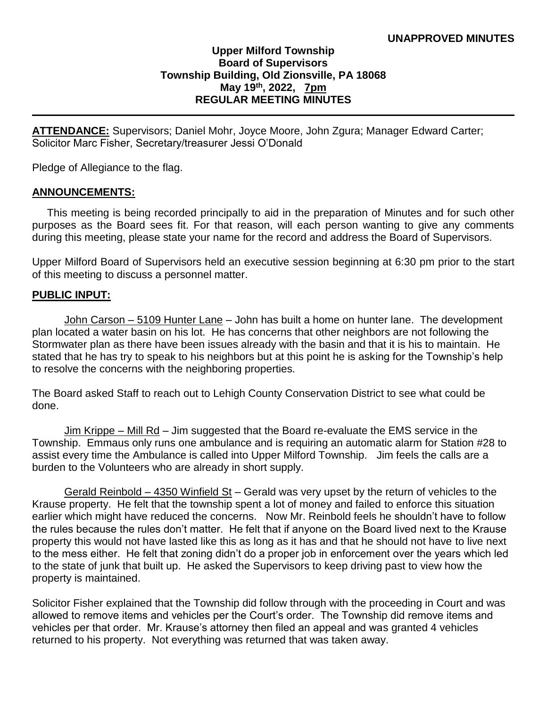# **Upper Milford Township Board of Supervisors Township Building, Old Zionsville, PA 18068 May 19th, 2022, 7pm REGULAR MEETING MINUTES**

**ATTENDANCE:** Supervisors; Daniel Mohr, Joyce Moore, John Zgura; Manager Edward Carter; Solicitor Marc Fisher, Secretary/treasurer Jessi O'Donald

Pledge of Allegiance to the flag.

#### **ANNOUNCEMENTS:**

 This meeting is being recorded principally to aid in the preparation of Minutes and for such other purposes as the Board sees fit. For that reason, will each person wanting to give any comments during this meeting, please state your name for the record and address the Board of Supervisors.

Upper Milford Board of Supervisors held an executive session beginning at 6:30 pm prior to the start of this meeting to discuss a personnel matter.

#### **PUBLIC INPUT:**

John Carson – 5109 Hunter Lane – John has built a home on hunter lane. The development plan located a water basin on his lot. He has concerns that other neighbors are not following the Stormwater plan as there have been issues already with the basin and that it is his to maintain. He stated that he has try to speak to his neighbors but at this point he is asking for the Township's help to resolve the concerns with the neighboring properties.

The Board asked Staff to reach out to Lehigh County Conservation District to see what could be done.

Jim Krippe – Mill Rd – Jim suggested that the Board re-evaluate the EMS service in the Township. Emmaus only runs one ambulance and is requiring an automatic alarm for Station #28 to assist every time the Ambulance is called into Upper Milford Township. Jim feels the calls are a burden to the Volunteers who are already in short supply.

Gerald Reinbold – 4350 Winfield St – Gerald was very upset by the return of vehicles to the Krause property. He felt that the township spent a lot of money and failed to enforce this situation earlier which might have reduced the concerns. Now Mr. Reinbold feels he shouldn't have to follow the rules because the rules don't matter. He felt that if anyone on the Board lived next to the Krause property this would not have lasted like this as long as it has and that he should not have to live next to the mess either. He felt that zoning didn't do a proper job in enforcement over the years which led to the state of junk that built up. He asked the Supervisors to keep driving past to view how the property is maintained.

Solicitor Fisher explained that the Township did follow through with the proceeding in Court and was allowed to remove items and vehicles per the Court's order. The Township did remove items and vehicles per that order. Mr. Krause's attorney then filed an appeal and was granted 4 vehicles returned to his property. Not everything was returned that was taken away.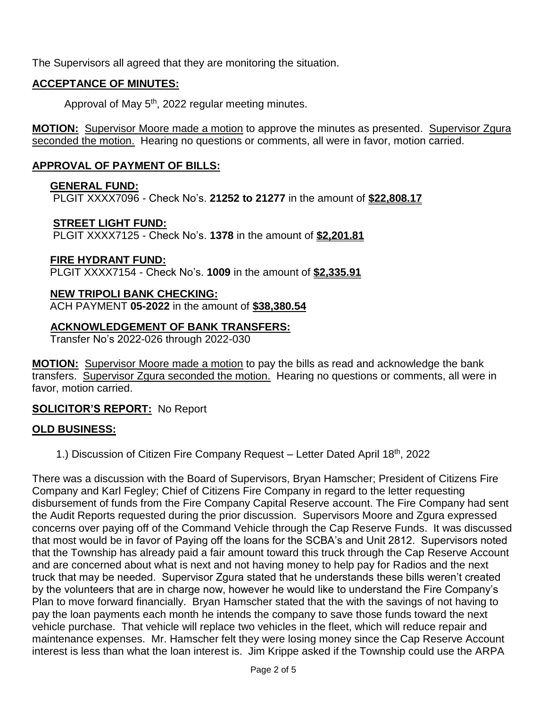The Supervisors all agreed that they are monitoring the situation.

# **ACCEPTANCE OF MINUTES:**

Approval of May 5<sup>th</sup>, 2022 regular meeting minutes.

**MOTION:** Supervisor Moore made a motion to approve the minutes as presented. Supervisor Zgura seconded the motion. Hearing no questions or comments, all were in favor, motion carried.

# **APPROVAL OF PAYMENT OF BILLS:**

## **GENERAL FUND:**

PLGIT XXXX7096 - Check No's. **21252 to 21277** in the amount of **\$22,808.17**

#### **STREET LIGHT FUND:**

PLGIT XXXX7125 - Check No's. **1378** in the amount of **\$2,201.81**

## **FIRE HYDRANT FUND:**

PLGIT XXXX7154 - Check No's. **1009** in the amount of **\$2,335.91**

# **NEW TRIPOLI BANK CHECKING:**

ACH PAYMENT **05-2022** in the amount of **\$38,380.54**

## **ACKNOWLEDGEMENT OF BANK TRANSFERS:**

Transfer No's 2022-026 through 2022-030

**MOTION:** Supervisor Moore made a motion to pay the bills as read and acknowledge the bank transfers. Supervisor Zgura seconded the motion. Hearing no questions or comments, all were in favor, motion carried.

## **SOLICITOR'S REPORT:** No Report

## **OLD BUSINESS:**

1.) Discussion of Citizen Fire Company Request – Letter Dated April 18th, 2022

There was a discussion with the Board of Supervisors, Bryan Hamscher; President of Citizens Fire Company and Karl Fegley; Chief of Citizens Fire Company in regard to the letter requesting disbursement of funds from the Fire Company Capital Reserve account. The Fire Company had sent the Audit Reports requested during the prior discussion. Supervisors Moore and Zgura expressed concerns over paying off of the Command Vehicle through the Cap Reserve Funds. It was discussed that most would be in favor of Paying off the loans for the SCBA's and Unit 2812. Supervisors noted that the Township has already paid a fair amount toward this truck through the Cap Reserve Account and are concerned about what is next and not having money to help pay for Radios and the next truck that may be needed. Supervisor Zgura stated that he understands these bills weren't created by the volunteers that are in charge now, however he would like to understand the Fire Company's Plan to move forward financially. Bryan Hamscher stated that the with the savings of not having to pay the loan payments each month he intends the company to save those funds toward the next vehicle purchase. That vehicle will replace two vehicles in the fleet, which will reduce repair and maintenance expenses. Mr. Hamscher felt they were losing money since the Cap Reserve Account interest is less than what the loan interest is. Jim Krippe asked if the Township could use the ARPA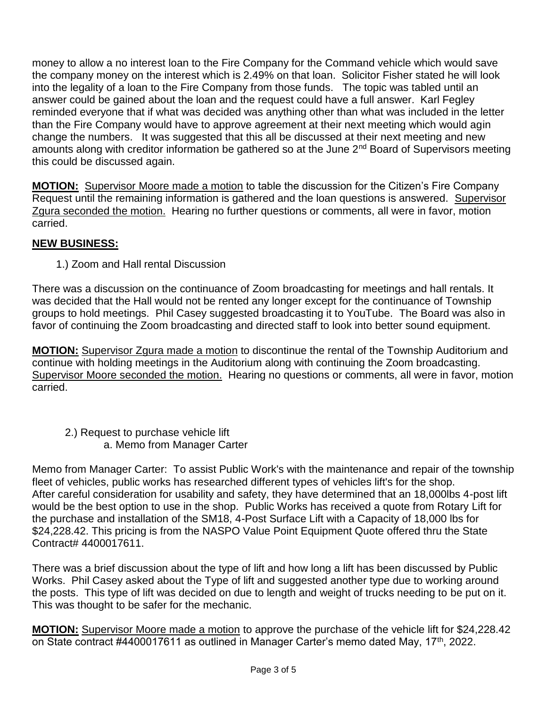money to allow a no interest loan to the Fire Company for the Command vehicle which would save the company money on the interest which is 2.49% on that loan. Solicitor Fisher stated he will look into the legality of a loan to the Fire Company from those funds. The topic was tabled until an answer could be gained about the loan and the request could have a full answer. Karl Fegley reminded everyone that if what was decided was anything other than what was included in the letter than the Fire Company would have to approve agreement at their next meeting which would agin change the numbers. It was suggested that this all be discussed at their next meeting and new amounts along with creditor information be gathered so at the June 2<sup>nd</sup> Board of Supervisors meeting this could be discussed again.

**MOTION:** Supervisor Moore made a motion to table the discussion for the Citizen's Fire Company Request until the remaining information is gathered and the loan questions is answered. Supervisor Zgura seconded the motion. Hearing no further questions or comments, all were in favor, motion carried.

# **NEW BUSINESS:**

1.) Zoom and Hall rental Discussion

There was a discussion on the continuance of Zoom broadcasting for meetings and hall rentals. It was decided that the Hall would not be rented any longer except for the continuance of Township groups to hold meetings. Phil Casey suggested broadcasting it to YouTube. The Board was also in favor of continuing the Zoom broadcasting and directed staff to look into better sound equipment.

**MOTION:** Supervisor Zgura made a motion to discontinue the rental of the Township Auditorium and continue with holding meetings in the Auditorium along with continuing the Zoom broadcasting. Supervisor Moore seconded the motion. Hearing no questions or comments, all were in favor, motion carried.

 2.) Request to purchase vehicle lift a. Memo from Manager Carter

Memo from Manager Carter: To assist Public Work's with the maintenance and repair of the township fleet of vehicles, public works has researched different types of vehicles lift's for the shop. After careful consideration for usability and safety, they have determined that an 18,000lbs 4-post lift would be the best option to use in the shop. Public Works has received a quote from Rotary Lift for the purchase and installation of the SM18, 4-Post Surface Lift with a Capacity of 18,000 lbs for \$24,228.42. This pricing is from the NASPO Value Point Equipment Quote offered thru the State Contract# 4400017611.

There was a brief discussion about the type of lift and how long a lift has been discussed by Public Works. Phil Casey asked about the Type of lift and suggested another type due to working around the posts. This type of lift was decided on due to length and weight of trucks needing to be put on it. This was thought to be safer for the mechanic.

**MOTION:** Supervisor Moore made a motion to approve the purchase of the vehicle lift for \$24,228.42 on State contract #4400017611 as outlined in Manager Carter's memo dated May, 17<sup>th</sup>, 2022.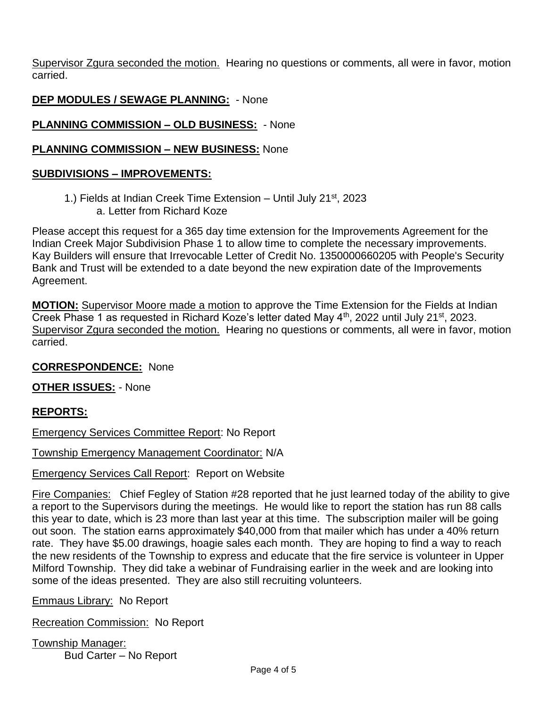Supervisor Zgura seconded the motion. Hearing no questions or comments, all were in favor, motion carried.

# **DEP MODULES / SEWAGE PLANNING:** - None

# **PLANNING COMMISSION – OLD BUSINESS:** - None

## **PLANNING COMMISSION – NEW BUSINESS:** None

#### **SUBDIVISIONS – IMPROVEMENTS:**

1.) Fields at Indian Creek Time Extension – Until July 21st, 2023 a. Letter from Richard Koze

Please accept this request for a 365 day time extension for the Improvements Agreement for the Indian Creek Major Subdivision Phase 1 to allow time to complete the necessary improvements. Kay Builders will ensure that Irrevocable Letter of Credit No. 1350000660205 with People's Security Bank and Trust will be extended to a date beyond the new expiration date of the Improvements Agreement.

**MOTION:** Supervisor Moore made a motion to approve the Time Extension for the Fields at Indian Creek Phase 1 as requested in Richard Koze's letter dated May 4<sup>th</sup>, 2022 until July 21<sup>st</sup>, 2023. Supervisor Zgura seconded the motion. Hearing no questions or comments, all were in favor, motion carried.

## **CORRESPONDENCE:** None

**OTHER ISSUES:** - None

## **REPORTS:**

Emergency Services Committee Report: No Report

Township Emergency Management Coordinator: N/A

Emergency Services Call Report: Report on Website

Fire Companies: Chief Fegley of Station #28 reported that he just learned today of the ability to give a report to the Supervisors during the meetings. He would like to report the station has run 88 calls this year to date, which is 23 more than last year at this time. The subscription mailer will be going out soon. The station earns approximately \$40,000 from that mailer which has under a 40% return rate. They have \$5.00 drawings, hoagie sales each month. They are hoping to find a way to reach the new residents of the Township to express and educate that the fire service is volunteer in Upper Milford Township. They did take a webinar of Fundraising earlier in the week and are looking into some of the ideas presented. They are also still recruiting volunteers.

Emmaus Library: No Report

Recreation Commission: No Report

Township Manager: Bud Carter – No Report